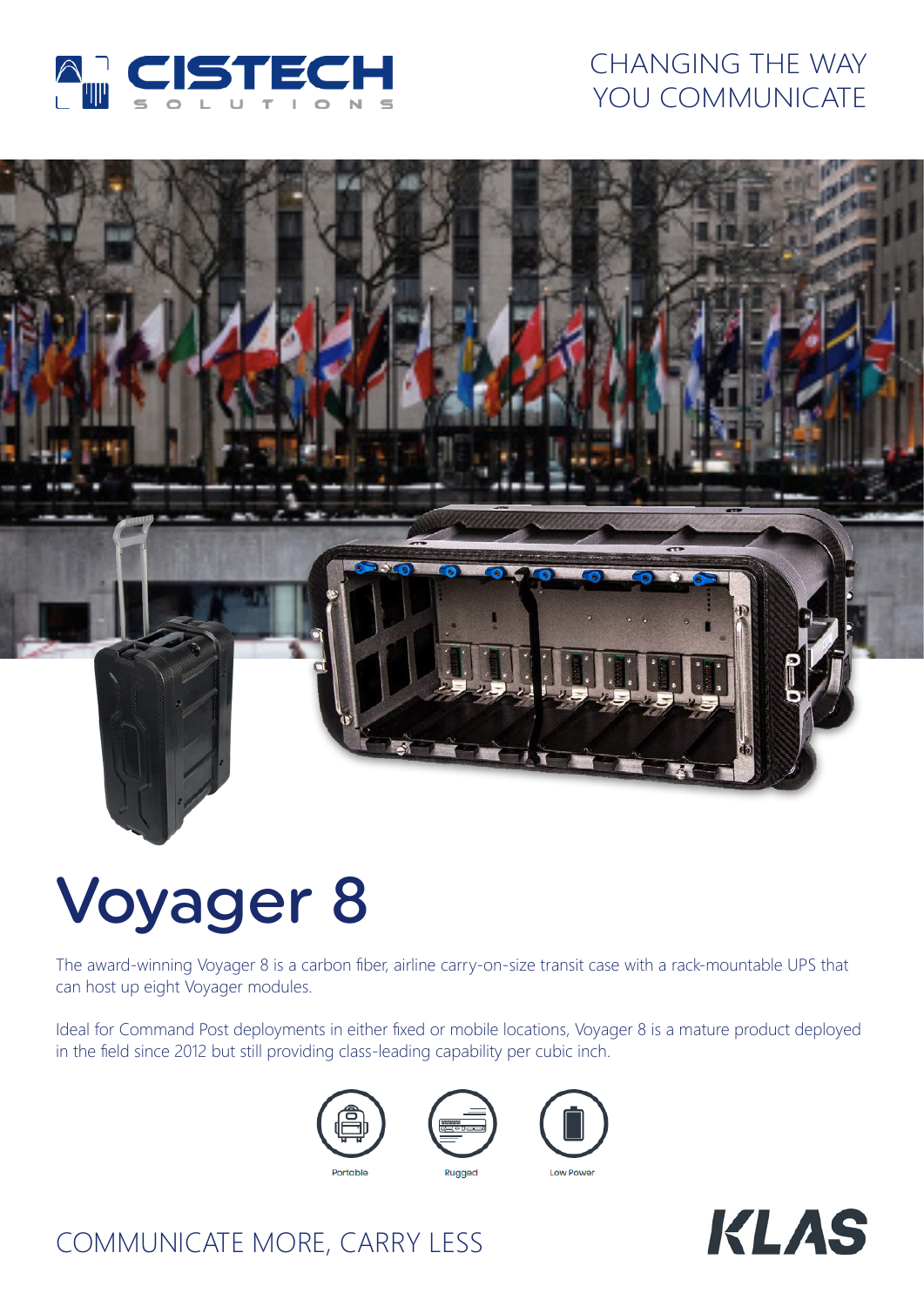

## CHANGING THE WAY YOU COMMUNICATE



# Voyager 8

The award-winning Voyager 8 is a carbon fiber, airline carry-on-size transit case with a rack-mountable UPS that can host up eight Voyager modules.

Ideal for Command Post deployments in either fixed or mobile locations, Voyager 8 is a mature product deployed in the field since 2012 but still providing class-leading capability per cubic inch.









## COMMUNICATE MORE, CARRY LESS